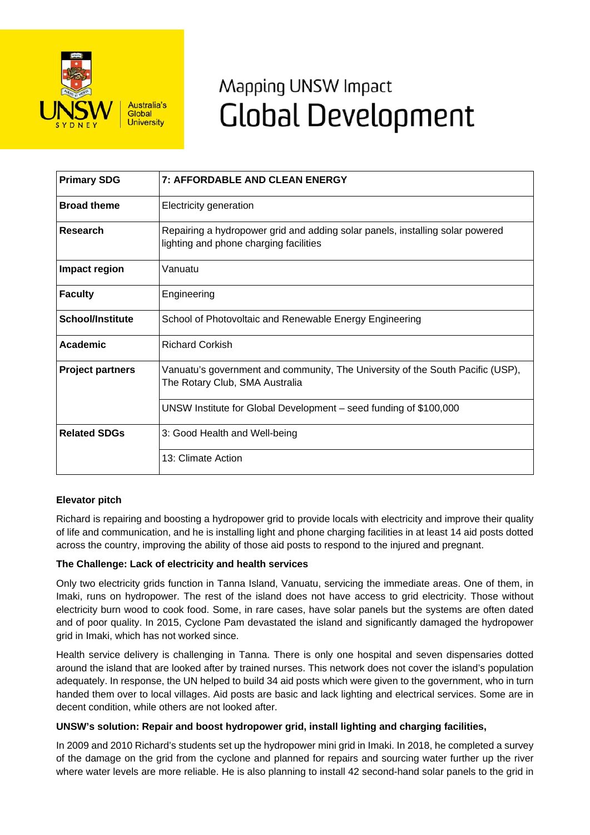

# Mapping UNSW Impact **Global Development**

| <b>Primary SDG</b>      | <b>7: AFFORDABLE AND CLEAN ENERGY</b>                                                                                   |
|-------------------------|-------------------------------------------------------------------------------------------------------------------------|
| <b>Broad theme</b>      | Electricity generation                                                                                                  |
| Research                | Repairing a hydropower grid and adding solar panels, installing solar powered<br>lighting and phone charging facilities |
| Impact region           | Vanuatu                                                                                                                 |
| <b>Faculty</b>          | Engineering                                                                                                             |
| <b>School/Institute</b> | School of Photovoltaic and Renewable Energy Engineering                                                                 |
| Academic                | <b>Richard Corkish</b>                                                                                                  |
| <b>Project partners</b> | Vanuatu's government and community, The University of the South Pacific (USP),<br>The Rotary Club, SMA Australia        |
|                         | UNSW Institute for Global Development – seed funding of \$100,000                                                       |
| <b>Related SDGs</b>     | 3: Good Health and Well-being                                                                                           |
|                         | 13: Climate Action                                                                                                      |

## **Elevator pitch**

Richard is repairing and boosting a hydropower grid to provide locals with electricity and improve their quality of life and communication, and he is installing light and phone charging facilities in at least 14 aid posts dotted across the country, improving the ability of those aid posts to respond to the injured and pregnant.

## **The Challenge: Lack of electricity and health services**

Only two electricity grids function in Tanna Island, Vanuatu, servicing the immediate areas. One of them, in Imaki, runs on hydropower. The rest of the island does not have access to grid electricity. Those without electricity burn wood to cook food. Some, in rare cases, have solar panels but the systems are often dated and of poor quality. In 2015, Cyclone Pam devastated the island and significantly damaged the hydropower grid in Imaki, which has not worked since.

Health service delivery is challenging in Tanna. There is only one hospital and seven dispensaries dotted around the island that are looked after by trained nurses. This network does not cover the island's population adequately. In response, the UN helped to build 34 aid posts which were given to the government, who in turn handed them over to local villages. Aid posts are basic and lack lighting and electrical services. Some are in decent condition, while others are not looked after.

## **UNSW's solution: Repair and boost hydropower grid, install lighting and charging facilities,**

In 2009 and 2010 Richard's students set up the hydropower mini grid in Imaki. In 2018, he completed a survey of the damage on the grid from the cyclone and planned for repairs and sourcing water further up the river where water levels are more reliable. He is also planning to install 42 second-hand solar panels to the grid in